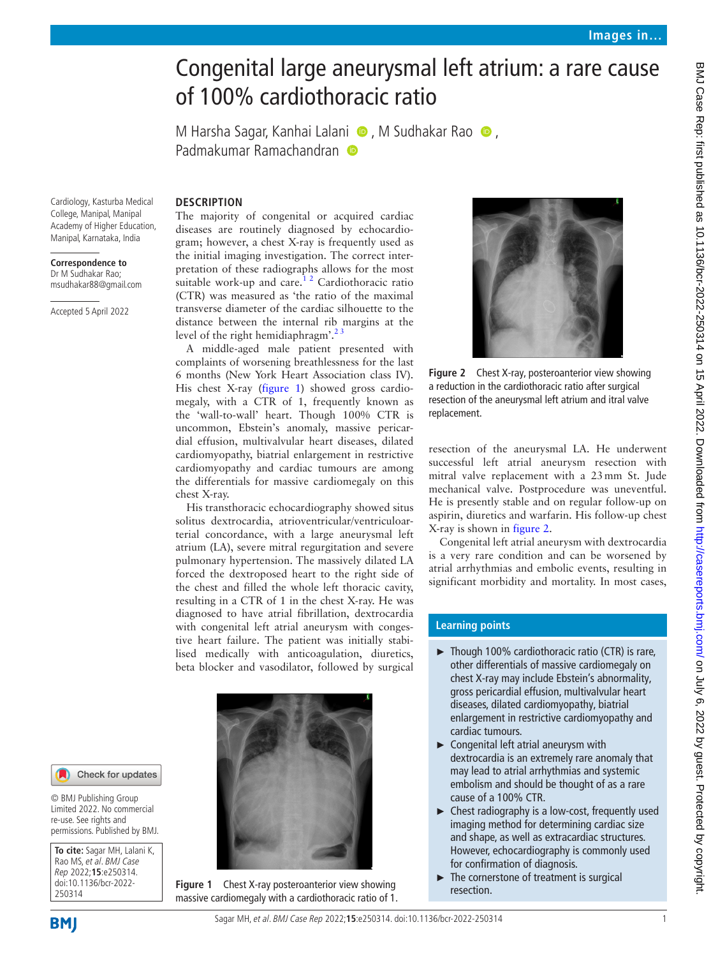# Congenital large aneurysmal left atrium: a rare cause of 100% cardiothoracic ratio

MHarsha Sagar, Kanhai Lalani  $\bullet$ , M Sudhakar Rao  $\bullet$ , PadmakumarRamachandran

Cardiology, Kasturba Medical College, Manipal, Manipal Academy of Higher Education, Manipal, Karnataka, India

#### **Correspondence to** Dr M Sudhakar Rao; msudhakar88@gmail.com

Accepted 5 April 2022

# **DESCRIPTION**

The majority of congenital or acquired cardiac diseases are routinely diagnosed by echocardiogram; however, a chest X-ray is frequently used as the initial imaging investigation. The correct interpretation of these radiographs allows for the most suitable work-up and care. $12$  Cardiothoracic ratio (CTR) was measured as 'the ratio of the maximal transverse diameter of the cardiac silhouette to the distance between the internal rib margins at the level of the right hemidiaphragm'.<sup>23</sup>

A middle-aged male patient presented with complaints of worsening breathlessness for the last 6 months (New York Heart Association class IV). His chest X-ray [\(figure](#page-0-0) 1) showed gross cardiomegaly, with a CTR of 1, frequently known as the 'wall-to-wall' heart. Though 100% CTR is uncommon, Ebstein's anomaly, massive pericardial effusion, multivalvular heart diseases, dilated cardiomyopathy, biatrial enlargement in restrictive cardiomyopathy and cardiac tumours are among the differentials for massive cardiomegaly on this chest X-ray.

His transthoracic echocardiography showed situs solitus dextrocardia, atrioventricular/ventriculoarterial concordance, with a large aneurysmal left atrium (LA), severe mitral regurgitation and severe pulmonary hypertension. The massively dilated LA forced the dextroposed heart to the right side of the chest and filled the whole left thoracic cavity, resulting in a CTR of 1 in the chest X-ray. He was diagnosed to have atrial fibrillation, dextrocardia with congenital left atrial aneurysm with congestive heart failure. The patient was initially stabilised medically with anticoagulation, diuretics, beta blocker and vasodilator, followed by surgical



<span id="page-0-0"></span>**Figure 1** Chest X-ray posteroanterior view showing massive cardiomegaly with a cardiothoracic ratio of 1.



**Figure 2** Chest X-ray, posteroanterior view showing a reduction in the cardiothoracic ratio after surgical resection of the aneurysmal left atrium and itral valve replacement.

<span id="page-0-1"></span>resection of the aneurysmal LA. He underwent successful left atrial aneurysm resection with mitral valve replacement with a 23mm St. Jude mechanical valve. Postprocedure was uneventful. He is presently stable and on regular follow-up on aspirin, diuretics and warfarin. His follow-up chest X-ray is shown in [figure](#page-0-1) 2.

Congenital left atrial aneurysm with dextrocardia is a very rare condition and can be worsened by atrial arrhythmias and embolic events, resulting in significant morbidity and mortality. In most cases,

# **Learning points**

- ► Though 100% cardiothoracic ratio (CTR) is rare, other differentials of massive cardiomegaly on chest X-ray may include Ebstein's abnormality, gross pericardial effusion, multivalvular heart diseases, dilated cardiomyopathy, biatrial enlargement in restrictive cardiomyopathy and cardiac tumours.
- ► Congenital left atrial aneurysm with dextrocardia is an extremely rare anomaly that may lead to atrial arrhythmias and systemic embolism and should be thought of as a rare cause of a 100% CTR.
- ► Chest radiography is a low-cost, frequently used imaging method for determining cardiac size and shape, as well as extracardiac structures. However, echocardiography is commonly used for confirmation of diagnosis.
- The cornerstone of treatment is surgical resection.

#### Check for updates

© BMJ Publishing Group Limited 2022. No commercial re-use. See rights and permissions. Published by BMJ.

**To cite:** Sagar MH, Lalani K, Rao MS, et al. BMJ Case Rep 2022;**15**:e250314. doi:10.1136/bcr-2022- 250314